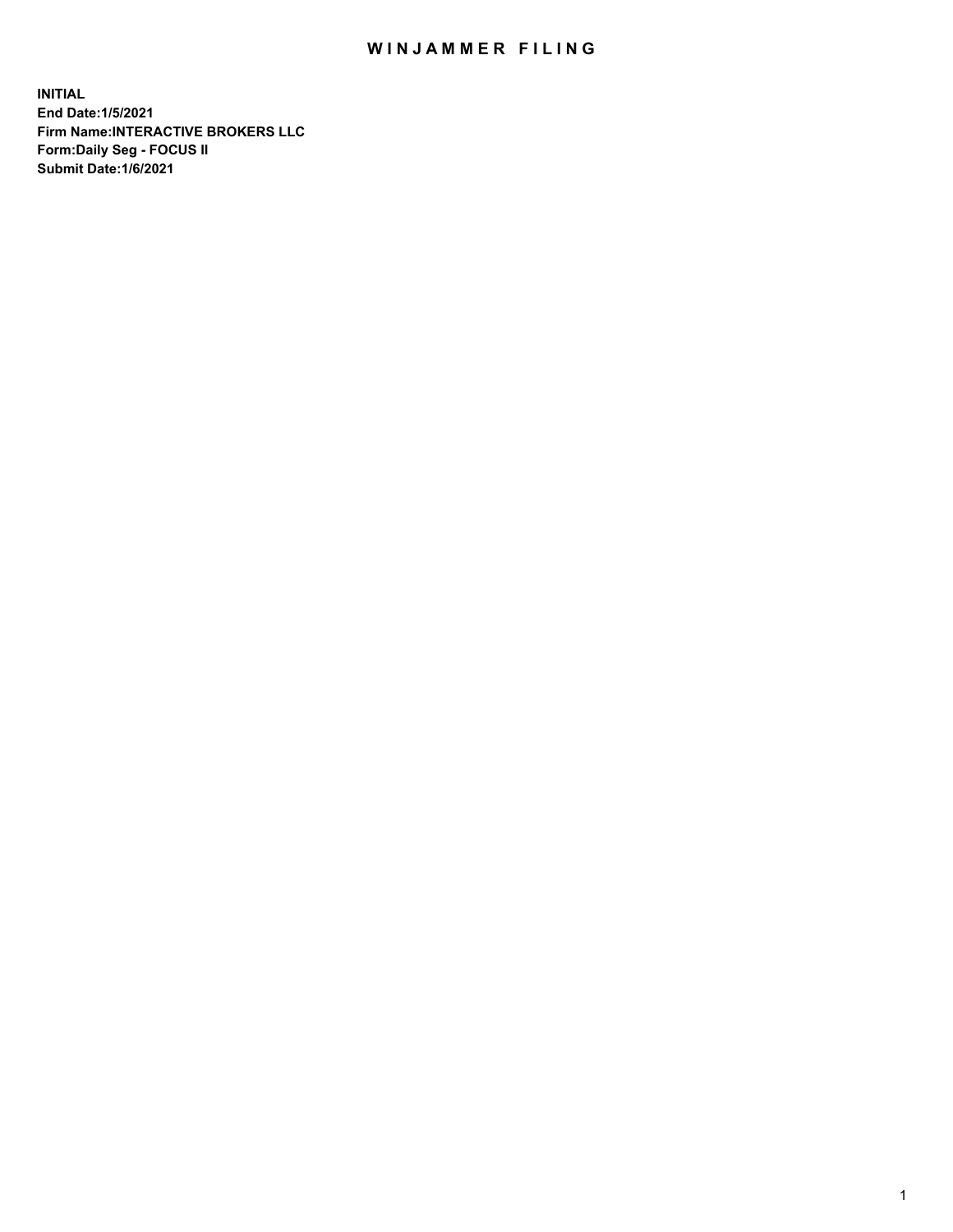## WIN JAMMER FILING

**INITIAL End Date:1/5/2021 Firm Name:INTERACTIVE BROKERS LLC Form:Daily Seg - FOCUS II Submit Date:1/6/2021**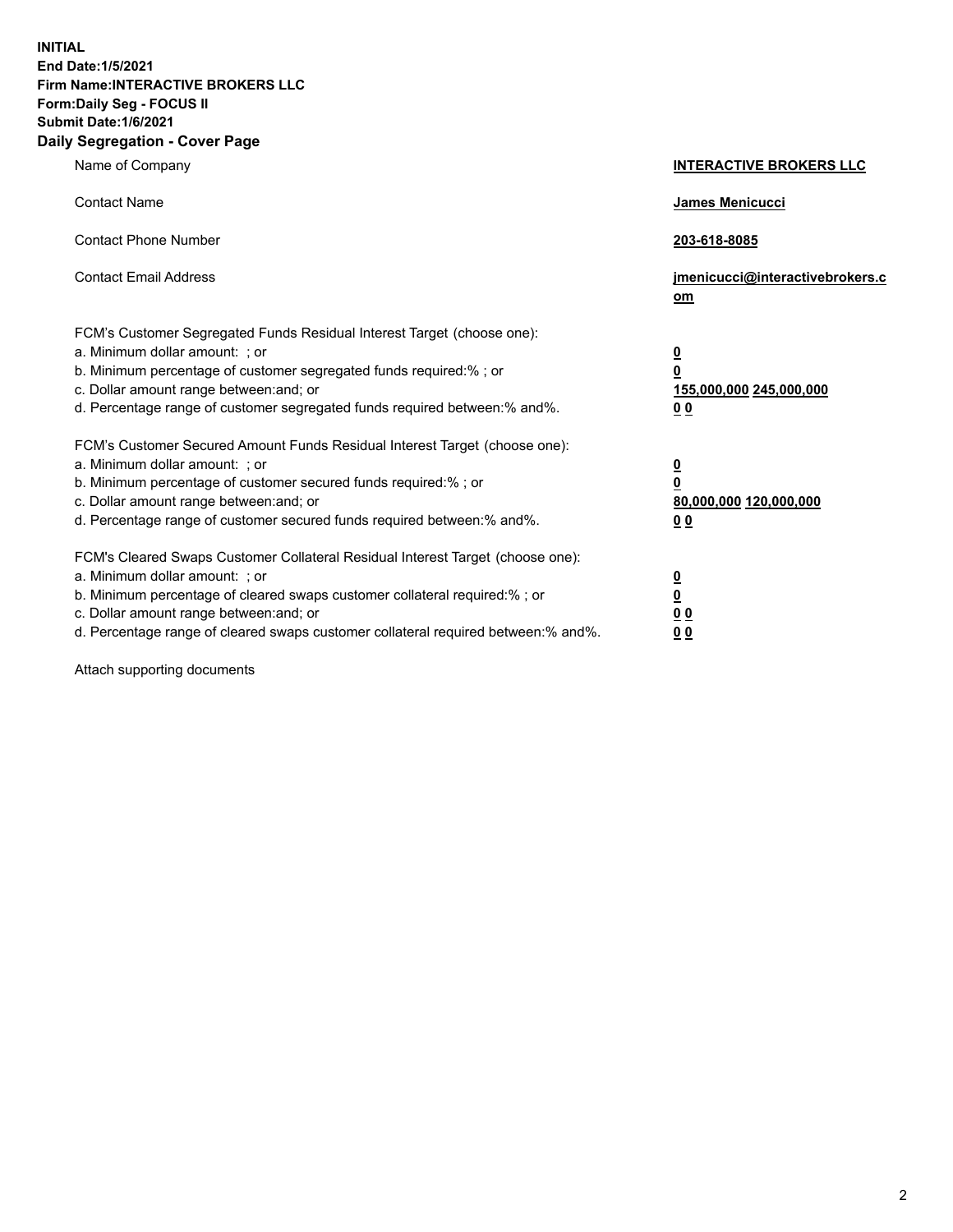**INITIAL End Date:1/5/2021 Firm Name:INTERACTIVE BROKERS LLC Form:Daily Seg - FOCUS II Submit Date:1/6/2021 Daily Segregation - Cover Page**

| Name of Company                                                                                                                                                                                                                                                                                                                | <b>INTERACTIVE BROKERS LLC</b>                                                                 |
|--------------------------------------------------------------------------------------------------------------------------------------------------------------------------------------------------------------------------------------------------------------------------------------------------------------------------------|------------------------------------------------------------------------------------------------|
| <b>Contact Name</b>                                                                                                                                                                                                                                                                                                            | James Menicucci                                                                                |
| <b>Contact Phone Number</b>                                                                                                                                                                                                                                                                                                    | 203-618-8085                                                                                   |
| <b>Contact Email Address</b>                                                                                                                                                                                                                                                                                                   | jmenicucci@interactivebrokers.c<br>om                                                          |
| FCM's Customer Segregated Funds Residual Interest Target (choose one):<br>a. Minimum dollar amount: ; or<br>b. Minimum percentage of customer segregated funds required:% ; or<br>c. Dollar amount range between: and; or<br>d. Percentage range of customer segregated funds required between:% and%.                         | $\overline{\mathbf{0}}$<br>$\overline{\mathbf{0}}$<br>155,000,000 245,000,000<br>00            |
| FCM's Customer Secured Amount Funds Residual Interest Target (choose one):<br>a. Minimum dollar amount: ; or<br>b. Minimum percentage of customer secured funds required:%; or<br>c. Dollar amount range between: and; or<br>d. Percentage range of customer secured funds required between:% and%.                            | $\overline{\mathbf{0}}$<br>$\overline{\mathbf{0}}$<br>80,000,000 120,000,000<br>0 <sub>0</sub> |
| FCM's Cleared Swaps Customer Collateral Residual Interest Target (choose one):<br>a. Minimum dollar amount: ; or<br>b. Minimum percentage of cleared swaps customer collateral required:% ; or<br>c. Dollar amount range between: and; or<br>d. Percentage range of cleared swaps customer collateral required between:% and%. | $\frac{0}{0}$<br>0 <sub>0</sub><br>0 <sub>0</sub>                                              |

Attach supporting documents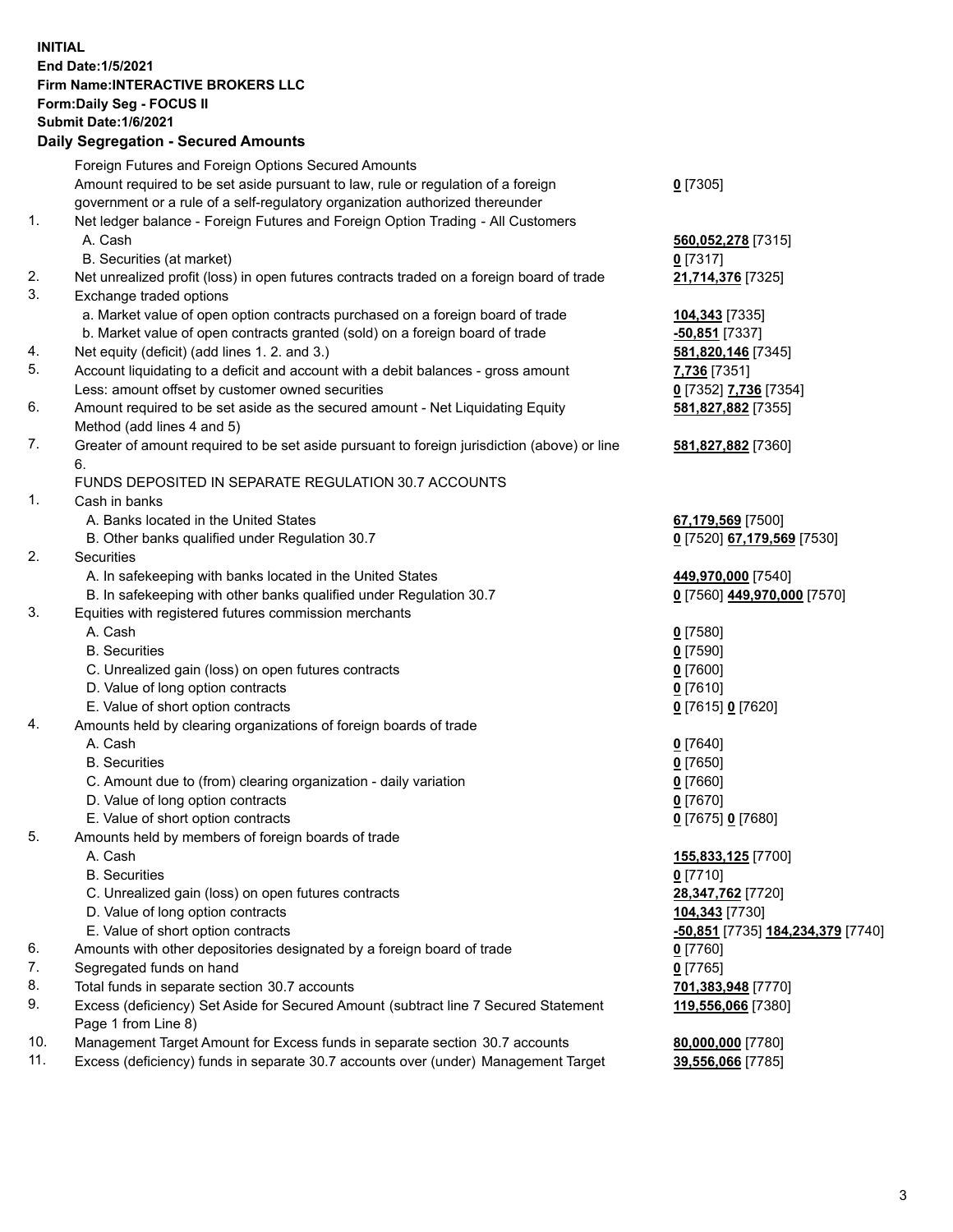## **INITIAL End Date:1/5/2021 Firm Name:INTERACTIVE BROKERS LLC Form:Daily Seg - FOCUS II Submit Date:1/6/2021 Daily Segregation - Secured Amounts**

|     | Dany Ocgregation - Occarea Anioants                                                         |                                   |
|-----|---------------------------------------------------------------------------------------------|-----------------------------------|
|     | Foreign Futures and Foreign Options Secured Amounts                                         |                                   |
|     | Amount required to be set aside pursuant to law, rule or regulation of a foreign            | $0$ [7305]                        |
|     | government or a rule of a self-regulatory organization authorized thereunder                |                                   |
| 1.  | Net ledger balance - Foreign Futures and Foreign Option Trading - All Customers             |                                   |
|     | A. Cash                                                                                     | 560,052,278 [7315]                |
|     | B. Securities (at market)                                                                   | $0$ [7317]                        |
| 2.  | Net unrealized profit (loss) in open futures contracts traded on a foreign board of trade   | 21,714,376 [7325]                 |
| 3.  | Exchange traded options                                                                     |                                   |
|     | a. Market value of open option contracts purchased on a foreign board of trade              | 104,343 [7335]                    |
|     | b. Market value of open contracts granted (sold) on a foreign board of trade                | $-50,851$ [7337]                  |
| 4.  | Net equity (deficit) (add lines 1. 2. and 3.)                                               | 581,820,146 [7345]                |
| 5.  | Account liquidating to a deficit and account with a debit balances - gross amount           | 7,736 [7351]                      |
|     | Less: amount offset by customer owned securities                                            | 0 [7352] 7,736 [7354]             |
| 6.  | Amount required to be set aside as the secured amount - Net Liquidating Equity              | 581,827,882 [7355]                |
|     | Method (add lines 4 and 5)                                                                  |                                   |
| 7.  | Greater of amount required to be set aside pursuant to foreign jurisdiction (above) or line | 581,827,882 [7360]                |
|     | 6.                                                                                          |                                   |
|     | FUNDS DEPOSITED IN SEPARATE REGULATION 30.7 ACCOUNTS                                        |                                   |
| 1.  | Cash in banks                                                                               |                                   |
|     | A. Banks located in the United States                                                       | 67,179,569 [7500]                 |
|     | B. Other banks qualified under Regulation 30.7                                              | 0 [7520] 67,179,569 [7530]        |
| 2.  | Securities                                                                                  |                                   |
|     | A. In safekeeping with banks located in the United States                                   | 449,970,000 [7540]                |
|     | B. In safekeeping with other banks qualified under Regulation 30.7                          | 0 [7560] 449,970,000 [7570]       |
| 3.  | Equities with registered futures commission merchants                                       |                                   |
|     | A. Cash                                                                                     | $0$ [7580]                        |
|     | <b>B.</b> Securities                                                                        | $0$ [7590]                        |
|     | C. Unrealized gain (loss) on open futures contracts                                         | $0$ [7600]                        |
|     | D. Value of long option contracts                                                           | $0$ [7610]                        |
|     | E. Value of short option contracts                                                          | 0 [7615] 0 [7620]                 |
| 4.  | Amounts held by clearing organizations of foreign boards of trade                           |                                   |
|     | A. Cash                                                                                     | $0$ [7640]                        |
|     | <b>B.</b> Securities                                                                        | $0$ [7650]                        |
|     | C. Amount due to (from) clearing organization - daily variation                             | $0$ [7660]                        |
|     | D. Value of long option contracts                                                           | $0$ [7670]                        |
|     | E. Value of short option contracts                                                          | 0 [7675] 0 [7680]                 |
| 5.  | Amounts held by members of foreign boards of trade                                          |                                   |
|     | A. Cash                                                                                     | 155,833,125 [7700]                |
|     | <b>B.</b> Securities                                                                        | $0$ [7710]                        |
|     | C. Unrealized gain (loss) on open futures contracts                                         | 28,347,762 [7720]                 |
|     | D. Value of long option contracts                                                           | 104,343 [7730]                    |
|     | E. Value of short option contracts                                                          | -50,851 [7735] 184,234,379 [7740] |
| 6.  | Amounts with other depositories designated by a foreign board of trade                      | 0 [7760]                          |
| 7.  | Segregated funds on hand                                                                    | $0$ [7765]                        |
| 8.  | Total funds in separate section 30.7 accounts                                               | 701,383,948 [7770]                |
| 9.  | Excess (deficiency) Set Aside for Secured Amount (subtract line 7 Secured Statement         | 119,556,066 [7380]                |
|     | Page 1 from Line 8)                                                                         |                                   |
| 10. | Management Target Amount for Excess funds in separate section 30.7 accounts                 | 80,000,000 [7780]                 |
| 11. | Excess (deficiency) funds in separate 30.7 accounts over (under) Management Target          | 39,556,066 [7785]                 |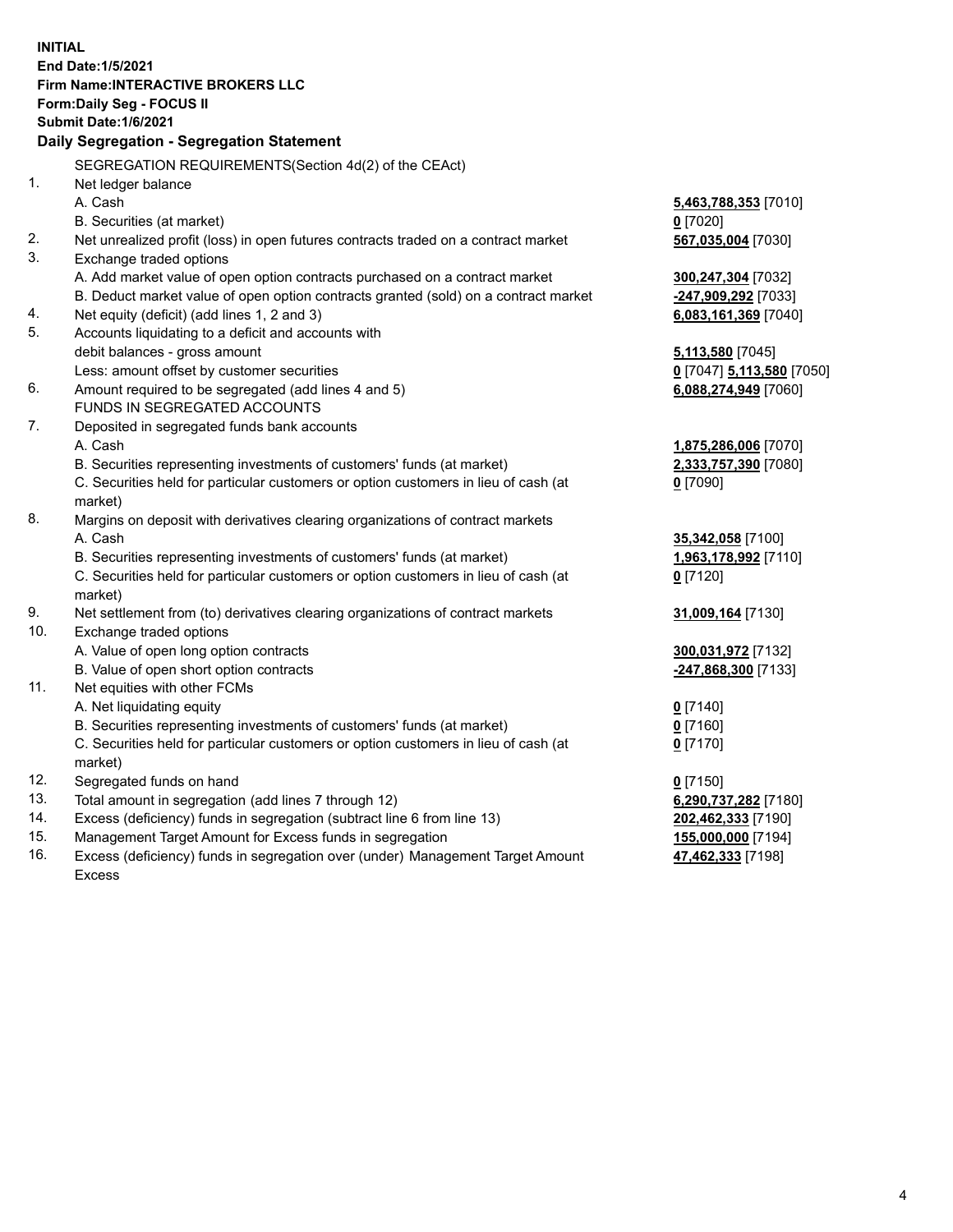**INITIAL End Date:1/5/2021 Firm Name:INTERACTIVE BROKERS LLC Form:Daily Seg - FOCUS II Submit Date:1/6/2021 Daily Segregation - Segregation Statement** SEGREGATION REQUIREMENTS(Section 4d(2) of the CEAct) 1. Net ledger balance A. Cash **5,463,788,353** [7010] B. Securities (at market) **0** [7020] 2. Net unrealized profit (loss) in open futures contracts traded on a contract market **567,035,004** [7030] 3. Exchange traded options A. Add market value of open option contracts purchased on a contract market **300,247,304** [7032] B. Deduct market value of open option contracts granted (sold) on a contract market **-247,909,292** [7033] 4. Net equity (deficit) (add lines 1, 2 and 3) **6,083,161,369** [7040] 5. Accounts liquidating to a deficit and accounts with debit balances - gross amount **5,113,580** [7045] Less: amount offset by customer securities **0** [7047] **5,113,580** [7050] 6. Amount required to be segregated (add lines 4 and 5) **6,088,274,949** [7060] FUNDS IN SEGREGATED ACCOUNTS 7. Deposited in segregated funds bank accounts A. Cash **1,875,286,006** [7070] B. Securities representing investments of customers' funds (at market) **2,333,757,390** [7080] C. Securities held for particular customers or option customers in lieu of cash (at market) **0** [7090] 8. Margins on deposit with derivatives clearing organizations of contract markets A. Cash **35,342,058** [7100] B. Securities representing investments of customers' funds (at market) **1,963,178,992** [7110] C. Securities held for particular customers or option customers in lieu of cash (at market) **0** [7120] 9. Net settlement from (to) derivatives clearing organizations of contract markets **31,009,164** [7130] 10. Exchange traded options A. Value of open long option contracts **300,031,972** [7132] B. Value of open short option contracts **-247,868,300** [7133] 11. Net equities with other FCMs A. Net liquidating equity **0** [7140] B. Securities representing investments of customers' funds (at market) **0** [7160] C. Securities held for particular customers or option customers in lieu of cash (at market) **0** [7170] 12. Segregated funds on hand **0** [7150] 13. Total amount in segregation (add lines 7 through 12) **6,290,737,282** [7180] 14. Excess (deficiency) funds in segregation (subtract line 6 from line 13) **202,462,333** [7190] 15. Management Target Amount for Excess funds in segregation **155,000,000** [7194] 16. Excess (deficiency) funds in segregation over (under) Management Target Amount **47,462,333** [7198]

Excess